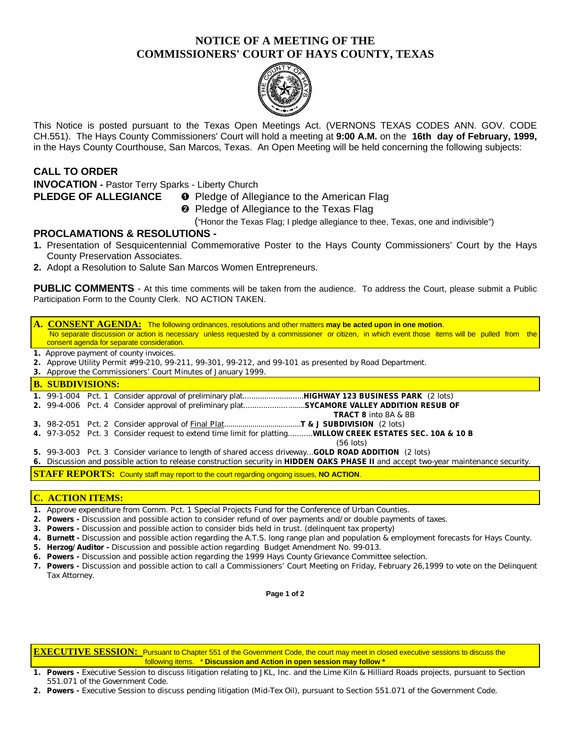# **NOTICE OF A MEETING OF THE COMMISSIONERS' COURT OF HAYS COUNTY, TEXAS**



This Notice is posted pursuant to the Texas Open Meetings Act. (VERNONS TEXAS CODES ANN. GOV. CODE CH.551). The Hays County Commissioners' Court will hold a meeting at **9:00 A.M.** on the **16th day of February, 1999,** in the Hays County Courthouse, San Marcos, Texas. An Open Meeting will be held concerning the following subjects:

# **CALL TO ORDER**

**INVOCATION -** Pastor Terry Sparks - Liberty Church

- **PLEDGE OF ALLEGIANCE O** Pledge of Allegiance to the American Flag
	- **<sup>2</sup>** Pledge of Allegiance to the Texas Flag

("Honor the Texas Flag; I pledge allegiance to thee, Texas, one and indivisible")

### **PROCLAMATIONS & RESOLUTIONS -**

- **1.** Presentation of Sesquicentennial Commemorative Poster to the Hays County Commissioners' Court by the Hays County Preservation Associates.
- **2.** Adopt a Resolution to Salute San Marcos Women Entrepreneurs.

**PUBLIC COMMENTS** - At this time comments will be taken from the audience. To address the Court, please submit a Public Participation Form to the County Clerk. NO ACTION TAKEN.

### **A. CONSENT AGENDA:** The following ordinances, resolutions and other matters **may be acted upon in one motion**. No separate discussion or action is necessary unless requested by a commissioner or citizen, in which event those items will be pulled from the consent agenda for separate consideration.

- **1.** Approve payment of county invoices.
- **2.** Approve Utility Permit #99-210, 99-211, 99-301, 99-212, and 99-101 as presented by Road Department.
- **3.** Approve the Commissioners' Court Minutes of January 1999.

**B. SUBDIVISIONS:**

|--|--|--|--|--|

- **2.** 99-4-006 Pct. 4 Consider approval of preliminary plat............................**SYCAMORE VALLEY ADDITION RESUB OF**
- **TRACT 8** into 8A & 8B
- **3.** 98-2-051 Pct. 2 Consider approval of Final Plat......................................**T & J SUBDIVISION** (2 lots)
- **4.** 97-3-052 Pct. 3 Consider request to extend time limit for platting...........**WILLOW CREEK ESTATES SEC. 10A & 10 B**
	- (56 lots)
- **5.** 99-3-003 Pct. 3 Consider variance to length of shared access driveway...**GOLD ROAD ADDITION** (2 lots)

**6.** Discussion and possible action to release construction security in **HIDDEN OAKS PHASE II** and accept two-year maintenance security.

**STAFF REPORTS:** County staff may report to the court regarding ongoing issues, **NO ACTION**.

#### **C. ACTION ITEMS:**

- **1.** Approve expenditure from Comm. Pct. 1 Special Projects Fund for the Conference of Urban Counties.
- **2. Powers -** Discussion and possible action to consider refund of over payments and/or double payments of taxes.
- **3. Powers -** Discussion and possible action to consider bids held in trust. (delinquent tax property)
- **4. Burnett** Discussion and possible action regarding the A.T.S. long range plan and population & employment forecasts for Hays County.
- **5. Herzog/Auditor -** Discussion and possible action regarding Budget Amendment No. 99-013.
- **6. Powers -** Discussion and possible action regarding the 1999 Hays County Grievance Committee selection.
- **7. Powers -** Discussion and possible action to call a Commissioners' Court Meeting on Friday, February 26,1999 to vote on the Delinquent Tax Attorney.

**Page 1 of 2**

**EXECUTIVE SESSION:** Pursuant to Chapter 551 of the Government Code, the court may meet in closed executive sessions to discuss the following items. \* **Discussion and Action in open session may follow \***

- **1. Powers -** Executive Session to discuss litigation relating to JKL, Inc. and the Lime Kiln & Hilliard Roads projects, pursuant to Section 551.071 of the Government Code.
- **2. Powers -** Executive Session to discuss pending litigation (Mid-Tex Oil), pursuant to Section 551.071 of the Government Code.